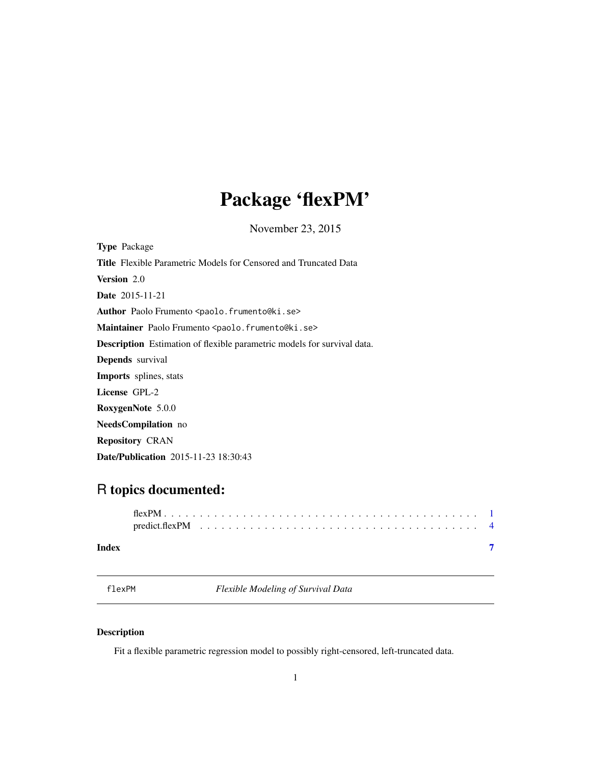# <span id="page-0-0"></span>Package 'flexPM'

November 23, 2015

<span id="page-0-1"></span>Type Package Title Flexible Parametric Models for Censored and Truncated Data Version 2.0 Date 2015-11-21 Author Paolo Frumento <paolo.frumento@ki.se> Maintainer Paolo Frumento <paolo.frumento@ki.se> Description Estimation of flexible parametric models for survival data. Depends survival Imports splines, stats License GPL-2 RoxygenNote 5.0.0 NeedsCompilation no Repository CRAN Date/Publication 2015-11-23 18:30:43

## R topics documented:

| Index |  |  |  |  |  |  |  |  |  |  |  |  |  |  |  |  |  |  |
|-------|--|--|--|--|--|--|--|--|--|--|--|--|--|--|--|--|--|--|

<span id="page-0-2"></span>flexPM *Flexible Modeling of Survival Data*

### Description

Fit a flexible parametric regression model to possibly right-censored, left-truncated data.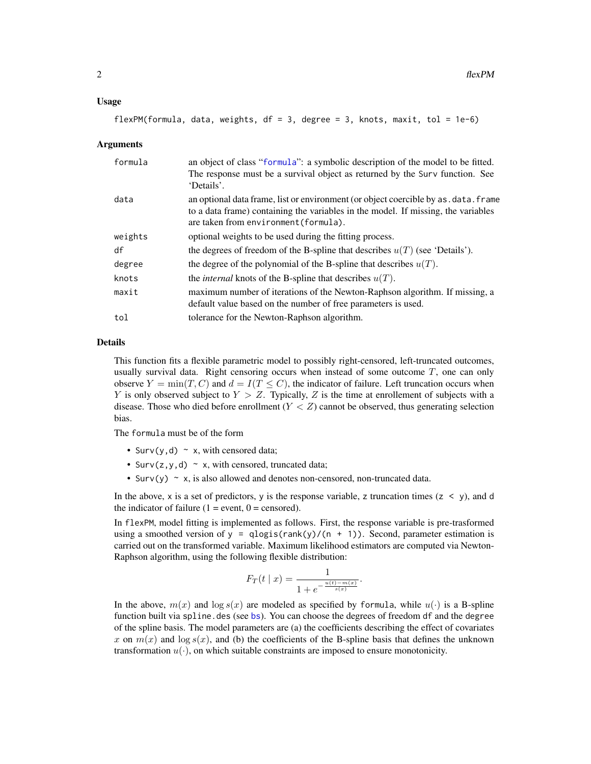#### <span id="page-1-0"></span>Usage

```
flexPM(formula, data, weights, df = 3, degree = 3, knots, maxit, tol = 1e-6)
```
#### Arguments

| formula | an object of class "formula": a symbolic description of the model to be fitted.<br>The response must be a survival object as returned by the Surv function. See<br>'Details'.                                      |
|---------|--------------------------------------------------------------------------------------------------------------------------------------------------------------------------------------------------------------------|
| data    | an optional data frame, list or environment (or object coercible by as . data. frame<br>to a data frame) containing the variables in the model. If missing, the variables<br>are taken from environment (formula). |
| weights | optional weights to be used during the fitting process.                                                                                                                                                            |
| df      | the degrees of freedom of the B-spline that describes $u(T)$ (see 'Details').                                                                                                                                      |
| degree  | the degree of the polynomial of the B-spline that describes $u(T)$ .                                                                                                                                               |
| knots   | the <i>internal</i> knots of the B-spline that describes $u(T)$ .                                                                                                                                                  |
| maxit   | maximum number of iterations of the Newton-Raphson algorithm. If missing, a<br>default value based on the number of free parameters is used.                                                                       |
| tol     | tolerance for the Newton-Raphson algorithm.                                                                                                                                                                        |
|         |                                                                                                                                                                                                                    |

#### Details

This function fits a flexible parametric model to possibly right-censored, left-truncated outcomes, usually survival data. Right censoring occurs when instead of some outcome  $T$ , one can only observe  $Y = min(T, C)$  and  $d = I(T \leq C)$ , the indicator of failure. Left truncation occurs when Y is only observed subject to  $Y > Z$ . Typically, Z is the time at enrollement of subjects with a disease. Those who died before enrollment  $(Y < Z)$  cannot be observed, thus generating selection bias.

The formula must be of the form

- Surv(y, d)  $\sim$  x, with censored data;
- Surv( $z$ ,  $y$ ,  $d$ )  $\sim$  x, with censored, truncated data;
- Surv(y)  $\sim$  x, is also allowed and denotes non-censored, non-truncated data.

In the above, x is a set of predictors, y is the response variable, z truncation times ( $z \le y$ ), and d the indicator of failure  $(1 = event, 0 = censored)$ .

In flexPM, model fitting is implemented as follows. First, the response variable is pre-trasformed using a smoothed version of y = qlogis(rank(y)/(n + 1)). Second, parameter estimation is carried out on the transformed variable. Maximum likelihood estimators are computed via Newton-Raphson algorithm, using the following flexible distribution:

$$
F_T(t \mid x) = \frac{1}{1 + e^{-\frac{u(t) - m(x)}{s(x)}}}.
$$

In the above,  $m(x)$  and  $\log s(x)$  are modeled as specified by formula, while  $u(\cdot)$  is a B-spline function built via spline.des (see [bs](#page-0-1)). You can choose the degrees of freedom df and the degree of the spline basis. The model parameters are (a) the coefficients describing the effect of covariates x on  $m(x)$  and  $\log s(x)$ , and (b) the coefficients of the B-spline basis that defines the unknown transformation  $u(\cdot)$ , on which suitable constraints are imposed to ensure monotonicity.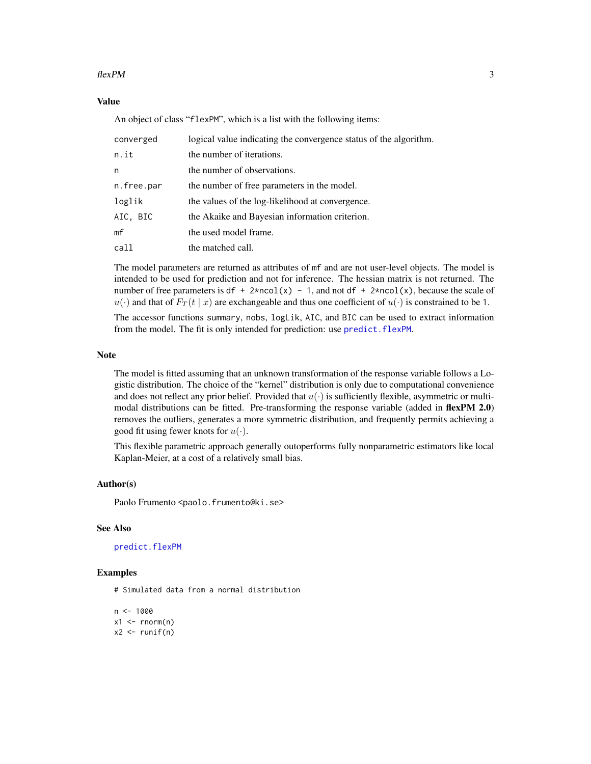#### <span id="page-2-0"></span> $flexPM$  3

#### Value

An object of class "flexPM", which is a list with the following items:

| converged  | logical value indicating the convergence status of the algorithm. |
|------------|-------------------------------------------------------------------|
| n.it       | the number of iterations.                                         |
| n          | the number of observations.                                       |
| n.free.par | the number of free parameters in the model.                       |
| loglik     | the values of the log-likelihood at convergence.                  |
| AIC, BIC   | the Akaike and Bayesian information criterion.                    |
| mf         | the used model frame.                                             |
| call       | the matched call.                                                 |

The model parameters are returned as attributes of mf and are not user-level objects. The model is intended to be used for prediction and not for inference. The hessian matrix is not returned. The number of free parameters is df + 2\*ncol(x) - 1, and not df + 2\*ncol(x), because the scale of  $u(\cdot)$  and that of  $F_T(t \mid x)$  are exchangeable and thus one coefficient of  $u(\cdot)$  is constrained to be 1.

The accessor functions summary, nobs, logLik, AIC, and BIC can be used to extract information from the model. The fit is only intended for prediction: use predict. flexPM.

#### Note

The model is fitted assuming that an unknown transformation of the response variable follows a Logistic distribution. The choice of the "kernel" distribution is only due to computational convenience and does not reflect any prior belief. Provided that  $u(\cdot)$  is sufficiently flexible, asymmetric or multimodal distributions can be fitted. Pre-transforming the response variable (added in flexPM 2.0) removes the outliers, generates a more symmetric distribution, and frequently permits achieving a good fit using fewer knots for  $u(\cdot)$ .

This flexible parametric approach generally outoperforms fully nonparametric estimators like local Kaplan-Meier, at a cost of a relatively small bias.

#### Author(s)

Paolo Frumento <paolo.frumento@ki.se>

#### See Also

[predict.flexPM](#page-3-1)

#### Examples

# Simulated data from a normal distribution

```
n <- 1000
x1 \leq -\text{rnorm}(n)x2 \leftarrow runif(n)
```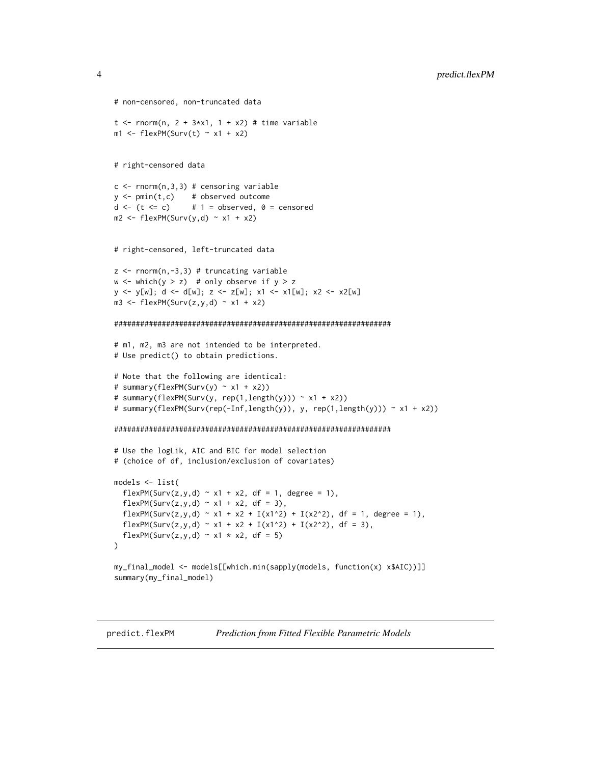```
# non-censored, non-truncated data
t \le - rnorm(n, 2 + 3*x1, 1 + x2) # time variable
ml \leftarrow \text{flexPM}(\text{Surv}(t) \sim x1 + x2)# right-censored data
c \leq -rnorm(n, 3, 3) # censoring variable
y \le -\text{pmin}(t, c) # observed outcome
d \le -(t \le c) # 1 = observed, 0 = censored
m2 \leq -\text{flexPM}(\text{Surv}(y, d) \sim x1 + x2)# right-censored, left-truncated data
z \leftarrow \text{norm}(n,-3,3) # truncating variable
w \le - which(y > z) # only observe if y > z
y <- y[w]; d <- d[w]; z <- z[w]; x1 <- x1[w]; x2 <- x2[w]
m3 <- flexPM(Surv(z,y,d) \sim x1 + x2)
################################################################
# m1, m2, m3 are not intended to be interpreted.
# Use predict() to obtain predictions.
# Note that the following are identical:
# summary(flexPM(Surv(y) ~ x1 + x2))
# summary(flexPM(Surv(y, rep(1,length(y))) ~ x1 + x2))
# summary(flexPM(Surv(rep(-Inf,length(y)), y, rep(1,length(y))) ~ x1 + x2))
################################################################
# Use the logLik, AIC and BIC for model selection
# (choice of df, inclusion/exclusion of covariates)
models <- list(
  flexPM(Surv(z,y,d) ~ x1 + x2, df = 1, degree = 1),
  flexPM(Surv(z,y,d) ~ x1 + x2, df = 3),
  flexPM(Surv(z,y,d) ~ x1 + x2 + I(x1^2) + I(x2^2), df = 1, degree = 1),
  flexPM(Surv(z,y,d) ~ x1 + x2 + I(x1^2) + I(x2^2), df = 3),
  flexPM(Surv(z,y,d) ~ x1 \times x2, df = 5)
)
my_final_model <- models[[which.min(sapply(models, function(x) x$AIC))]]
summary(my_final_model)
```
<span id="page-3-1"></span>

<span id="page-3-0"></span>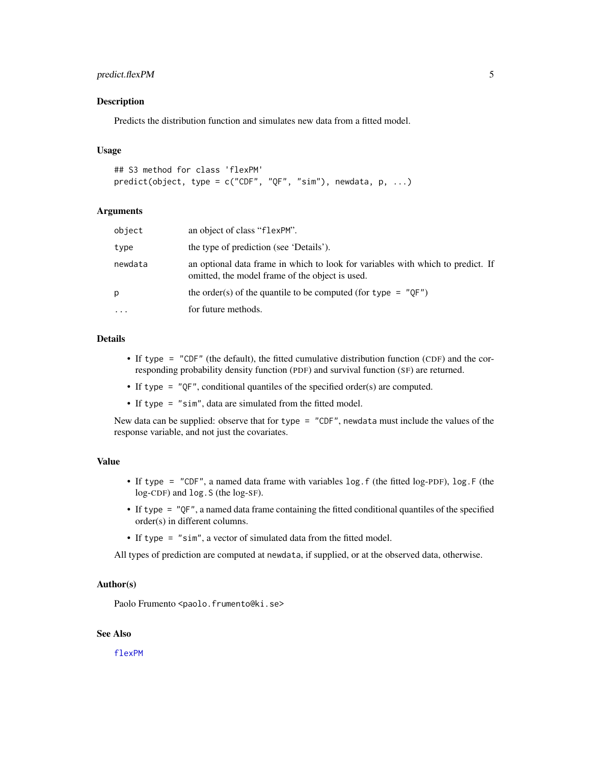#### <span id="page-4-0"></span>predict.flexPM 5

#### Description

Predicts the distribution function and simulates new data from a fitted model.

#### Usage

```
## S3 method for class 'flexPM'
predict(object, type = c("CDF", "QF", "sim"), newdata, p, ...)
```
#### Arguments

| object    | an object of class "flexPM".                                                                                                       |
|-----------|------------------------------------------------------------------------------------------------------------------------------------|
| type      | the type of prediction (see 'Details').                                                                                            |
| newdata   | an optional data frame in which to look for variables with which to predict. If<br>omitted, the model frame of the object is used. |
| р         | the order(s) of the quantile to be computed (for type $=$ "OF")                                                                    |
| $\ddotsc$ | for future methods.                                                                                                                |

#### Details

- If type = "CDF" (the default), the fitted cumulative distribution function (CDF) and the corresponding probability density function (PDF) and survival function (SF) are returned.
- If type = "QF", conditional quantiles of the specified order(s) are computed.
- If type = "sim", data are simulated from the fitted model.

New data can be supplied: observe that for type = "CDF", newdata must include the values of the response variable, and not just the covariates.

#### Value

- If type = "CDF", a named data frame with variables log.f (the fitted log-PDF), log.F (the log-CDF) and log.S (the log-SF).
- If type = "QF", a named data frame containing the fitted conditional quantiles of the specified order(s) in different columns.
- If type = "sim", a vector of simulated data from the fitted model.

All types of prediction are computed at newdata, if supplied, or at the observed data, otherwise.

#### Author(s)

Paolo Frumento <paolo.frumento@ki.se>

#### See Also

[flexPM](#page-0-2)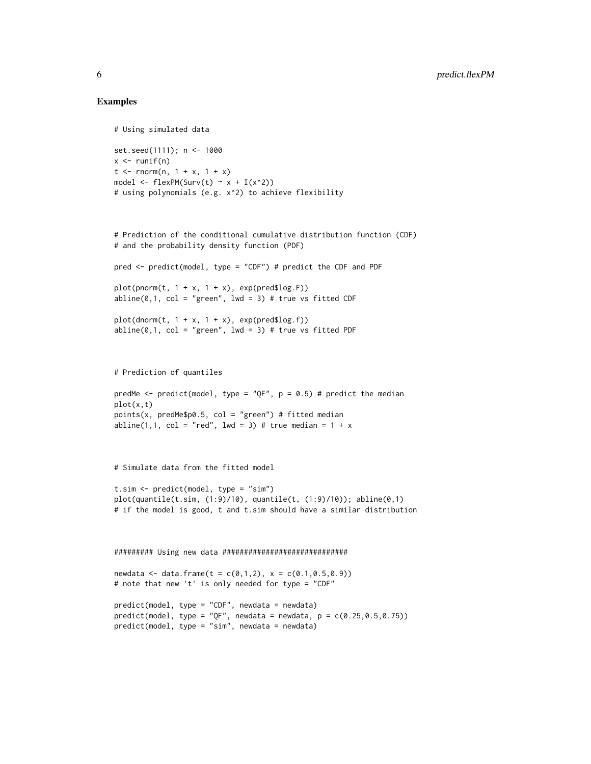#### Examples

```
# Using simulated data
set.seed(1111); n <- 1000
x \le- runif(n)
t \le - rnorm(n, 1 + x, 1 + x)
model \leq flexPM(Surv(t) \sim x + I(x^2))
# using polynomials (e.g. x^2) to achieve flexibility
# Prediction of the conditional cumulative distribution function (CDF)
# and the probability density function (PDF)
pred <- predict(model, type = "CDF") # predict the CDF and PDF
plot(pnorm(t, 1 + x, 1 + x), exp(pred}})abline(0,1, col = "green", 1wd = 3) # true vs fitted CDFplot(dnorm(t, 1 + x, 1 + x), exp(predîlog.f))abline(0,1, col = "green", Ind = 3) # true vs fitted PDF# Prediction of quantiles
predMe <- predict(model, type = "QF", p = 0.5) # predict the median
plot(x,t)
points(x, predMe$p0.5, col = "green") # fitted median
abline(1,1, col = "red", lwd = 3) # true median = 1 + x# Simulate data from the fitted model
t.sim <- predict(model, type = "sim")
plot(quantile(t.sim, (1:9)/10), quantile(t, (1:9)/10)); abline(0,1)
# if the model is good, t and t.sim should have a similar distribution
######### Using new data #############################
newdata <- data.frame(t = c(0,1,2), x = c(0.1,0.5,0.9))
# note that new 't' is only needed for type = "CDF"
predict(model, type = "CDF", newdata = newdata)
predict(model, type = "QF", newdata = newdata, p = c(0.25, 0.5, 0.75))predict(model, type = "sim", newdata = newdata)
```